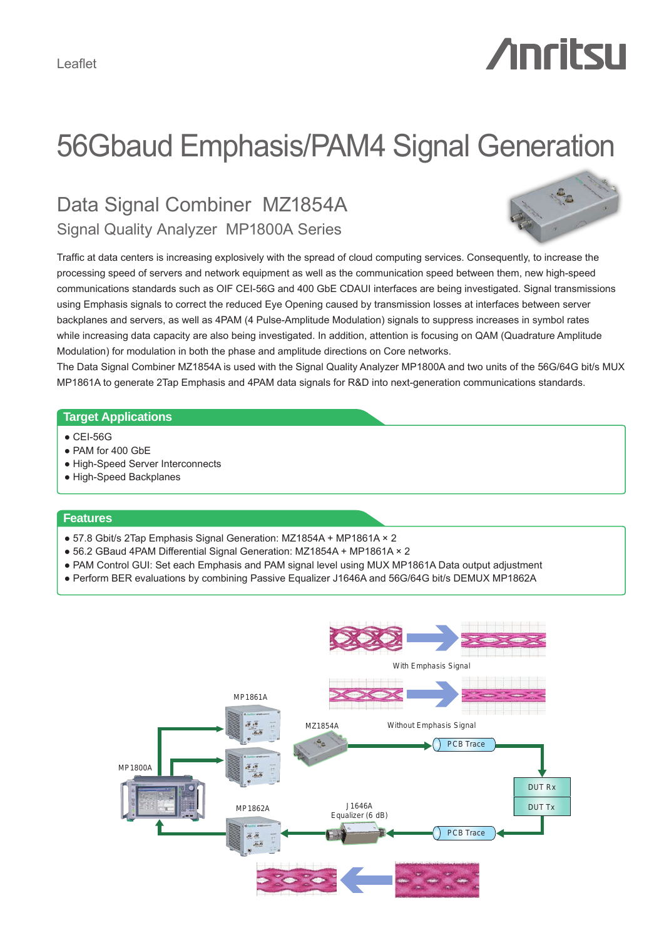# *Anritsu*

# 56Gbaud Emphasis/PAM4 Signal Generation

# Data Signal Combiner MZ1854A Signal Quality Analyzer MP1800A Series



Traffic at data centers is increasing explosively with the spread of cloud computing services. Consequently, to increase the processing speed of servers and network equipment as well as the communication speed between them, new high-speed communications standards such as OIF CEI-56G and 400 GbE CDAUI interfaces are being investigated. Signal transmissions using Emphasis signals to correct the reduced Eye Opening caused by transmission losses at interfaces between server backplanes and servers, as well as 4PAM (4 Pulse-Amplitude Modulation) signals to suppress increases in symbol rates while increasing data capacity are also being investigated. In addition, attention is focusing on QAM (Quadrature Amplitude Modulation) for modulation in both the phase and amplitude directions on Core networks.

The Data Signal Combiner MZ1854A is used with the Signal Quality Analyzer MP1800A and two units of the 56G/64G bit/s MUX MP1861A to generate 2Tap Emphasis and 4PAM data signals for R&D into next-generation communications standards.

#### **Target Applications**

- CEI-56G
- PAM for 400 GbE
- High-Speed Server Interconnects
- High-Speed Backplanes

#### **Features**

- 57.8 Gbit/s 2Tap Emphasis Signal Generation: MZ1854A + MP1861A × 2
- 56.2 GBaud 4PAM Differential Signal Generation: MZ1854A + MP1861A × 2
- PAM Control GUI: Set each Emphasis and PAM signal level using MUX MP1861A Data output adjustment
- Perform BER evaluations by combining Passive Equalizer J1646A and 56G/64G bit/s DEMUX MP1862A